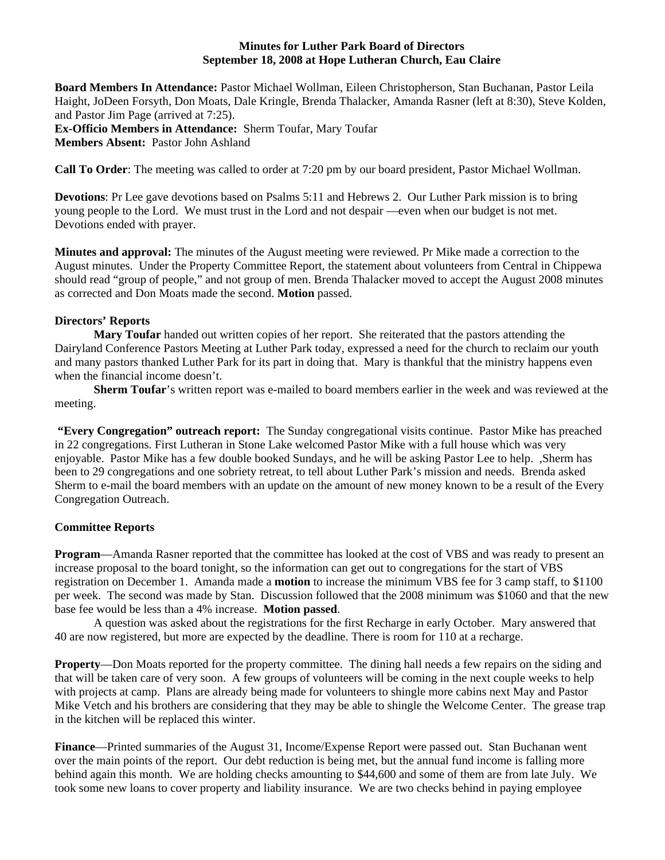### **Minutes for Luther Park Board of Directors September 18, 2008 at Hope Lutheran Church, Eau Claire**

**Board Members In Attendance:** Pastor Michael Wollman, Eileen Christopherson, Stan Buchanan, Pastor Leila Haight, JoDeen Forsyth, Don Moats, Dale Kringle, Brenda Thalacker, Amanda Rasner (left at 8:30), Steve Kolden, and Pastor Jim Page (arrived at 7:25).

**Ex-Officio Members in Attendance:** Sherm Toufar, Mary Toufar **Members Absent:** Pastor John Ashland

**Call To Order**: The meeting was called to order at 7:20 pm by our board president, Pastor Michael Wollman.

**Devotions**: Pr Lee gave devotions based on Psalms 5:11 and Hebrews 2. Our Luther Park mission is to bring young people to the Lord. We must trust in the Lord and not despair —even when our budget is not met. Devotions ended with prayer.

**Minutes and approval:** The minutes of the August meeting were reviewed. Pr Mike made a correction to the August minutes. Under the Property Committee Report, the statement about volunteers from Central in Chippewa should read "group of people," and not group of men. Brenda Thalacker moved to accept the August 2008 minutes as corrected and Don Moats made the second. **Motion** passed.

## **Directors' Reports**

**Mary Toufar** handed out written copies of her report. She reiterated that the pastors attending the Dairyland Conference Pastors Meeting at Luther Park today, expressed a need for the church to reclaim our youth and many pastors thanked Luther Park for its part in doing that. Mary is thankful that the ministry happens even when the financial income doesn't.

**Sherm Toufar**'s written report was e-mailed to board members earlier in the week and was reviewed at the meeting.

**"Every Congregation" outreach report:** The Sunday congregational visits continue. Pastor Mike has preached in 22 congregations. First Lutheran in Stone Lake welcomed Pastor Mike with a full house which was very enjoyable. Pastor Mike has a few double booked Sundays, and he will be asking Pastor Lee to help. ,Sherm has been to 29 congregations and one sobriety retreat, to tell about Luther Park's mission and needs. Brenda asked Sherm to e-mail the board members with an update on the amount of new money known to be a result of the Every Congregation Outreach.

# **Committee Reports**

**Program**—Amanda Rasner reported that the committee has looked at the cost of VBS and was ready to present an increase proposal to the board tonight, so the information can get out to congregations for the start of VBS registration on December 1. Amanda made a **motion** to increase the minimum VBS fee for 3 camp staff, to \$1100 per week. The second was made by Stan. Discussion followed that the 2008 minimum was \$1060 and that the new base fee would be less than a 4% increase. **Motion passed**.

 A question was asked about the registrations for the first Recharge in early October. Mary answered that 40 are now registered, but more are expected by the deadline. There is room for 110 at a recharge.

**Property**—Don Moats reported for the property committee. The dining hall needs a few repairs on the siding and that will be taken care of very soon. A few groups of volunteers will be coming in the next couple weeks to help with projects at camp. Plans are already being made for volunteers to shingle more cabins next May and Pastor Mike Vetch and his brothers are considering that they may be able to shingle the Welcome Center. The grease trap in the kitchen will be replaced this winter.

**Finance**—Printed summaries of the August 31, Income/Expense Report were passed out. Stan Buchanan went over the main points of the report. Our debt reduction is being met, but the annual fund income is falling more behind again this month. We are holding checks amounting to \$44,600 and some of them are from late July. We took some new loans to cover property and liability insurance. We are two checks behind in paying employee